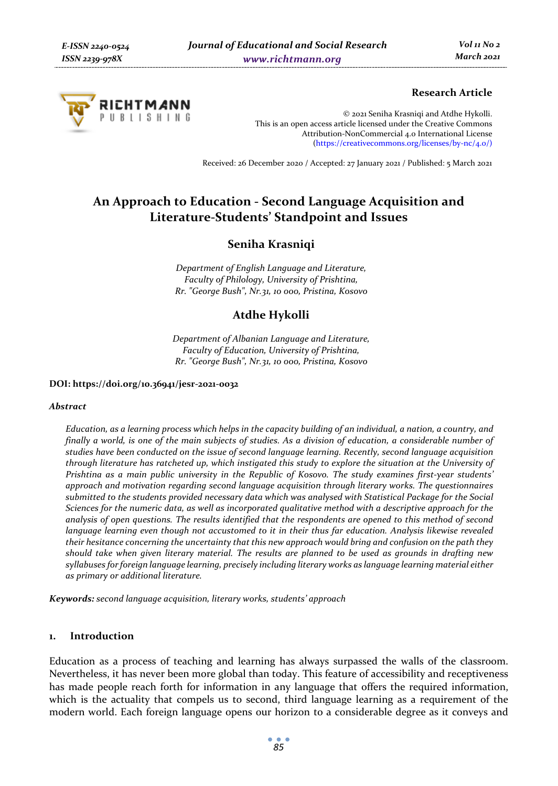

# **Research Article**

© 2021 Seniha Krasniqi and Atdhe Hykolli. This is an open access article licensed under the Creative Commons Attribution-NonCommercial 4.0 International License (https://creativecommons.org/licenses/by-nc/4.0/)

Received: 26 December 2020 / Accepted: 27 January 2021 / Published: 5 March 2021

# **An Approach to Education - Second Language Acquisition and Literature-Students' Standpoint and Issues**

# **Seniha Krasniqi**

*Department of English Language and Literature, Faculty of Philology, University of Prishtina, Rr. "George Bush", Nr.31, 10 000, Pristina, Kosovo* 

# **Atdhe Hykolli**

*Department of Albanian Language and Literature, Faculty of Education, University of Prishtina, Rr. "George Bush", Nr.31, 10 000, Pristina, Kosovo* 

#### **DOI: https://doi.org/10.36941/jesr-2021-0032**

#### *Abstract*

*Education, as a learning process which helps in the capacity building of an individual, a nation, a country, and finally a world, is one of the main subjects of studies. As a division of education, a considerable number of studies have been conducted on the issue of second language learning. Recently, second language acquisition through literature has ratcheted up, which instigated this study to explore the situation at the University of Prishtina as a main public university in the Republic of Kosovo. The study examines first-year students' approach and motivation regarding second language acquisition through literary works. The questionnaires submitted to the students provided necessary data which was analysed with Statistical Package for the Social Sciences for the numeric data, as well as incorporated qualitative method with a descriptive approach for the analysis of open questions. The results identified that the respondents are opened to this method of second language learning even though not accustomed to it in their thus far education. Analysis likewise revealed their hesitance concerning the uncertainty that this new approach would bring and confusion on the path they should take when given literary material. The results are planned to be used as grounds in drafting new syllabuses for foreign language learning, precisely including literary works as language learning material either as primary or additional literature.* 

*Keywords: second language acquisition, literary works, students' approach* 

## **1. Introduction**

Education as a process of teaching and learning has always surpassed the walls of the classroom. Nevertheless, it has never been more global than today. This feature of accessibility and receptiveness has made people reach forth for information in any language that offers the required information, which is the actuality that compels us to second, third language learning as a requirement of the modern world. Each foreign language opens our horizon to a considerable degree as it conveys and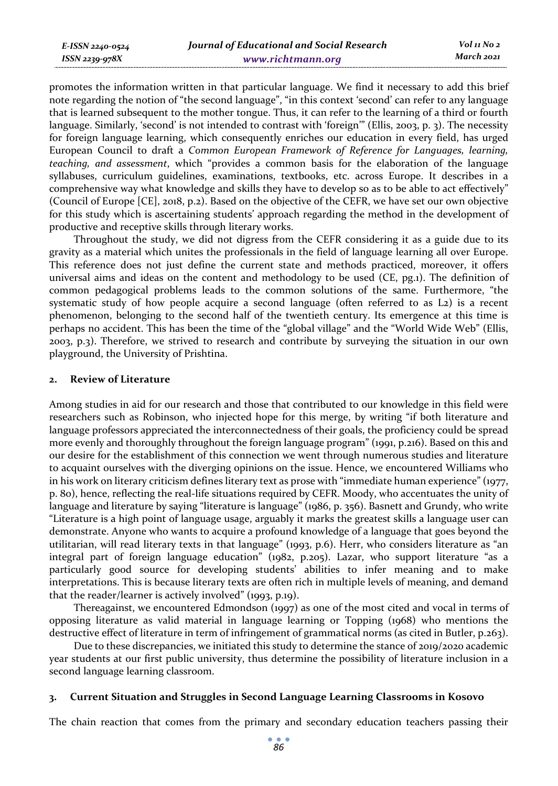| E-ISSN 2240-0524 | Journal of Educational and Social Research | Vol 11 No 2 |
|------------------|--------------------------------------------|-------------|
| ISSN 2239-978X   | www.richtmann.org                          | March 2021  |

promotes the information written in that particular language. We find it necessary to add this brief note regarding the notion of "the second language", "in this context 'second' can refer to any language that is learned subsequent to the mother tongue. Thus, it can refer to the learning of a third or fourth language. Similarly, 'second' is not intended to contrast with 'foreign'" (Ellis, 2003, p. 3). The necessity for foreign language learning, which consequently enriches our education in every field, has urged European Council to draft a *Common European Framework of Reference for Languages, learning, teaching, and assessment*, which "provides a common basis for the elaboration of the language syllabuses, curriculum guidelines, examinations, textbooks, etc. across Europe. It describes in a comprehensive way what knowledge and skills they have to develop so as to be able to act effectively" (Council of Europe [CE], 2018, p.2). Based on the objective of the CEFR, we have set our own objective for this study which is ascertaining students' approach regarding the method in the development of productive and receptive skills through literary works.

Throughout the study, we did not digress from the CEFR considering it as a guide due to its gravity as a material which unites the professionals in the field of language learning all over Europe. This reference does not just define the current state and methods practiced, moreover, it offers universal aims and ideas on the content and methodology to be used (CE, pg.1). The definition of common pedagogical problems leads to the common solutions of the same. Furthermore, "the systematic study of how people acquire a second language (often referred to as L2) is a recent phenomenon, belonging to the second half of the twentieth century. Its emergence at this time is perhaps no accident. This has been the time of the "global village" and the "World Wide Web" (Ellis, 2003, p.3). Therefore, we strived to research and contribute by surveying the situation in our own playground, the University of Prishtina.

#### **2. Review of Literature**

Among studies in aid for our research and those that contributed to our knowledge in this field were researchers such as Robinson, who injected hope for this merge, by writing "if both literature and language professors appreciated the interconnectedness of their goals, the proficiency could be spread more evenly and thoroughly throughout the foreign language program" (1991, p.216). Based on this and our desire for the establishment of this connection we went through numerous studies and literature to acquaint ourselves with the diverging opinions on the issue. Hence, we encountered Williams who in his work on literary criticism defines literary text as prose with "immediate human experience" (1977, p. 80), hence, reflecting the real-life situations required by CEFR. Moody, who accentuates the unity of language and literature by saying "literature is language" (1986, p. 356). Basnett and Grundy, who write "Literature is a high point of language usage, arguably it marks the greatest skills a language user can demonstrate. Anyone who wants to acquire a profound knowledge of a language that goes beyond the utilitarian, will read literary texts in that language" (1993, p.6). Herr, who considers literature as "an integral part of foreign language education" (1982, p.205). Lazar, who support literature "as a particularly good source for developing students' abilities to infer meaning and to make interpretations. This is because literary texts are often rich in multiple levels of meaning, and demand that the reader/learner is actively involved" (1993, p.19).

Thereagainst, we encountered Edmondson (1997) as one of the most cited and vocal in terms of opposing literature as valid material in language learning or Topping (1968) who mentions the destructive effect of literature in term of infringement of grammatical norms (as cited in Butler, p.263).

Due to these discrepancies, we initiated this study to determine the stance of 2019/2020 academic year students at our first public university, thus determine the possibility of literature inclusion in a second language learning classroom.

## **3. Current Situation and Struggles in Second Language Learning Classrooms in Kosovo**

The chain reaction that comes from the primary and secondary education teachers passing their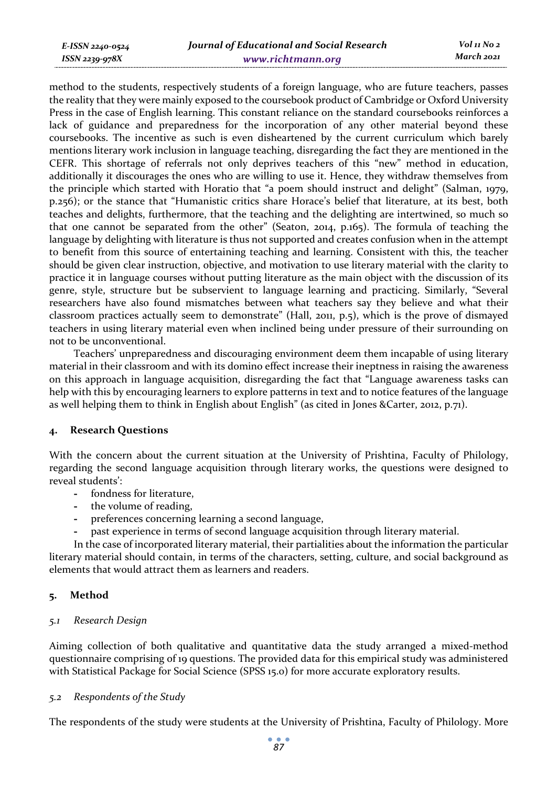*E-ISSN 2240-0524 ISSN 2239-978X*

method to the students, respectively students of a foreign language, who are future teachers, passes the reality that they were mainly exposed to the coursebook product of Cambridge or Oxford University Press in the case of English learning. This constant reliance on the standard coursebooks reinforces a lack of guidance and preparedness for the incorporation of any other material beyond these coursebooks. The incentive as such is even disheartened by the current curriculum which barely mentions literary work inclusion in language teaching, disregarding the fact they are mentioned in the CEFR. This shortage of referrals not only deprives teachers of this "new" method in education, additionally it discourages the ones who are willing to use it. Hence, they withdraw themselves from the principle which started with Horatio that "a poem should instruct and delight" (Salman, 1979, p.256); or the stance that "Humanistic critics share Horace's belief that literature, at its best, both teaches and delights, furthermore, that the teaching and the delighting are intertwined, so much so that one cannot be separated from the other" (Seaton, 2014, p.165). The formula of teaching the language by delighting with literature is thus not supported and creates confusion when in the attempt to benefit from this source of entertaining teaching and learning. Consistent with this, the teacher should be given clear instruction, objective, and motivation to use literary material with the clarity to practice it in language courses without putting literature as the main object with the discussion of its genre, style, structure but be subservient to language learning and practicing. Similarly, "Several researchers have also found mismatches between what teachers say they believe and what their classroom practices actually seem to demonstrate" (Hall, 2011, p.5), which is the prove of dismayed teachers in using literary material even when inclined being under pressure of their surrounding on not to be unconventional.

Teachers' unpreparedness and discouraging environment deem them incapable of using literary material in their classroom and with its domino effect increase their ineptness in raising the awareness on this approach in language acquisition, disregarding the fact that "Language awareness tasks can help with this by encouraging learners to explore patterns in text and to notice features of the language as well helping them to think in English about English" (as cited in Jones &Carter, 2012, p.71).

### **4. Research Questions**

With the concern about the current situation at the University of Prishtina, Faculty of Philology, regarding the second language acquisition through literary works, the questions were designed to reveal students':

- **-** fondness for literature,
- **-** the volume of reading,
- **-** preferences concerning learning a second language,
- **-** past experience in terms of second language acquisition through literary material.

In the case of incorporated literary material, their partialities about the information the particular literary material should contain, in terms of the characters, setting, culture, and social background as elements that would attract them as learners and readers.

# **5. Method**

# *5.1 Research Design*

Aiming collection of both qualitative and quantitative data the study arranged a mixed-method questionnaire comprising of 19 questions. The provided data for this empirical study was administered with Statistical Package for Social Science (SPSS 15.0) for more accurate exploratory results.

# *5.2 Respondents of the Study*

The respondents of the study were students at the University of Prishtina, Faculty of Philology. More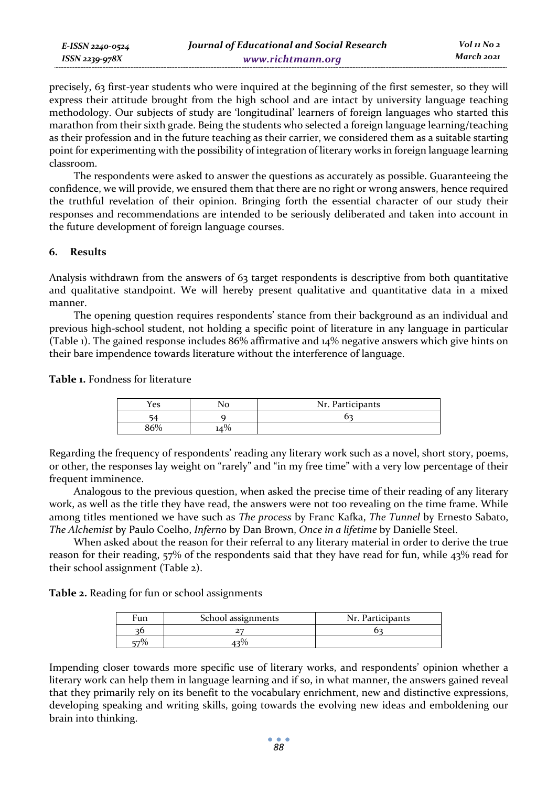precisely, 63 first-year students who were inquired at the beginning of the first semester, so they will express their attitude brought from the high school and are intact by university language teaching methodology. Our subjects of study are 'longitudinal' learners of foreign languages who started this marathon from their sixth grade. Being the students who selected a foreign language learning/teaching as their profession and in the future teaching as their carrier, we considered them as a suitable starting point for experimenting with the possibility of integration of literary works in foreign language learning classroom.

The respondents were asked to answer the questions as accurately as possible. Guaranteeing the confidence, we will provide, we ensured them that there are no right or wrong answers, hence required the truthful revelation of their opinion. Bringing forth the essential character of our study their responses and recommendations are intended to be seriously deliberated and taken into account in the future development of foreign language courses.

# **6. Results**

Analysis withdrawn from the answers of 63 target respondents is descriptive from both quantitative and qualitative standpoint. We will hereby present qualitative and quantitative data in a mixed manner.

The opening question requires respondents' stance from their background as an individual and previous high-school student, not holding a specific point of literature in any language in particular (Table 1). The gained response includes 86% affirmative and 14% negative answers which give hints on their bare impendence towards literature without the interference of language.

**Table 1.** Fondness for literature

| Yes |     | Nr. Participants |
|-----|-----|------------------|
|     |     |                  |
| 260 | .4% |                  |

Regarding the frequency of respondents' reading any literary work such as a novel, short story, poems, or other, the responses lay weight on "rarely" and "in my free time" with a very low percentage of their frequent imminence.

Analogous to the previous question, when asked the precise time of their reading of any literary work, as well as the title they have read, the answers were not too revealing on the time frame. While among titles mentioned we have such as *The process* by Franc Kafka, *The Tunnel* by Ernesto Sabato, *The Alchemist* by Paulo Coelho, *Inferno* by Dan Brown, *Once in a lifetime* by Danielle Steel.

When asked about the reason for their referral to any literary material in order to derive the true reason for their reading, 57% of the respondents said that they have read for fun, while 43% read for their school assignment (Table 2).

**Table 2.** Reading for fun or school assignments

| Fun | School assignments | Nr. Participants |
|-----|--------------------|------------------|
|     |                    |                  |
|     |                    |                  |

Impending closer towards more specific use of literary works, and respondents' opinion whether a literary work can help them in language learning and if so, in what manner, the answers gained reveal that they primarily rely on its benefit to the vocabulary enrichment, new and distinctive expressions, developing speaking and writing skills, going towards the evolving new ideas and emboldening our brain into thinking.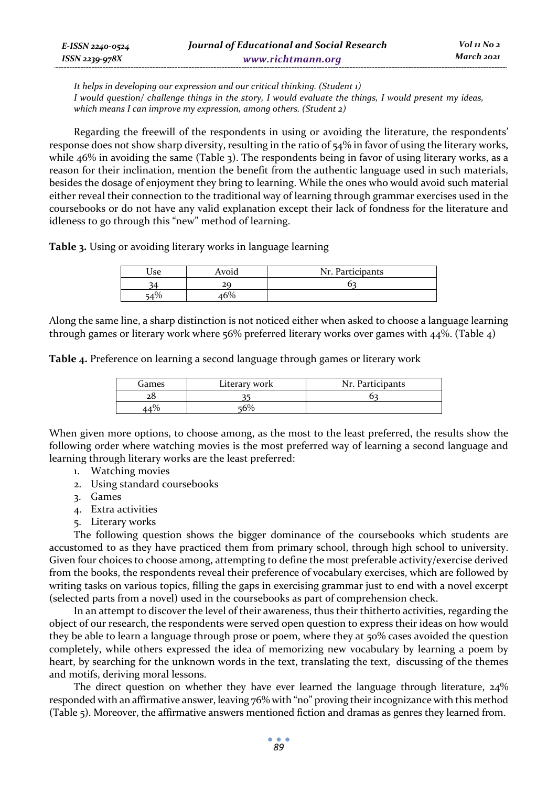| E-ISSN 2240-0524 | Journal of Educational and Social Research | Vol 11 No 2 |
|------------------|--------------------------------------------|-------------|
| ISSN 2239-978X   | www.richtmann.org                          | March 2021  |

*It helps in developing our expression and our critical thinking. (Student 1) I would question/ challenge things in the story, I would evaluate the things, I would present my ideas, which means I can improve my expression, among others. (Student 2)* 

Regarding the freewill of the respondents in using or avoiding the literature, the respondents' response does not show sharp diversity, resulting in the ratio of 54% in favor of using the literary works, while 46% in avoiding the same (Table 3). The respondents being in favor of using literary works, as a reason for their inclination, mention the benefit from the authentic language used in such materials, besides the dosage of enjoyment they bring to learning. While the ones who would avoid such material either reveal their connection to the traditional way of learning through grammar exercises used in the coursebooks or do not have any valid explanation except their lack of fondness for the literature and idleness to go through this "new" method of learning.

**Table 3.** Using or avoiding literary works in language learning

| Jse | Avoid | Nr. Participants |
|-----|-------|------------------|
|     | 20    |                  |
|     |       |                  |

Along the same line, a sharp distinction is not noticed either when asked to choose a language learning through games or literary work where 56% preferred literary works over games with 44%. (Table 4)

**Table 4.** Preference on learning a second language through games or literary work

| Games | Literary work | Nr. Participants |
|-------|---------------|------------------|
|       |               |                  |
|       |               |                  |

When given more options, to choose among, as the most to the least preferred, the results show the following order where watching movies is the most preferred way of learning a second language and learning through literary works are the least preferred:

- 1. Watching movies
- 2. Using standard coursebooks
- 3. Games
- 4. Extra activities
- 5. Literary works

The following question shows the bigger dominance of the coursebooks which students are accustomed to as they have practiced them from primary school, through high school to university. Given four choices to choose among, attempting to define the most preferable activity/exercise derived from the books, the respondents reveal their preference of vocabulary exercises, which are followed by writing tasks on various topics, filling the gaps in exercising grammar just to end with a novel excerpt (selected parts from a novel) used in the coursebooks as part of comprehension check.

In an attempt to discover the level of their awareness, thus their thitherto activities, regarding the object of our research, the respondents were served open question to express their ideas on how would they be able to learn a language through prose or poem, where they at 50% cases avoided the question completely, while others expressed the idea of memorizing new vocabulary by learning a poem by heart, by searching for the unknown words in the text, translating the text, discussing of the themes and motifs, deriving moral lessons.

The direct question on whether they have ever learned the language through literature,  $24\%$ responded with an affirmative answer, leaving 76% with "no" proving their incognizance with this method (Table 5). Moreover, the affirmative answers mentioned fiction and dramas as genres they learned from.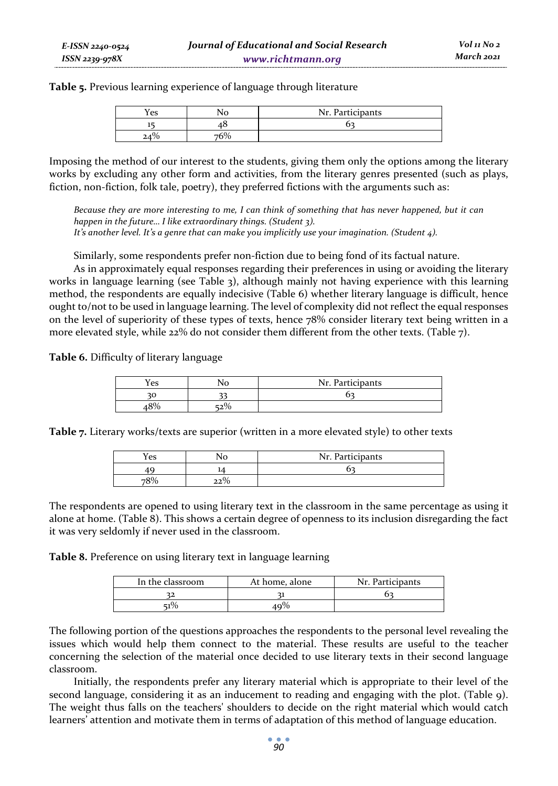**Table 5.** Previous learning experience of language through literature

| Yes | Nr. Participants |
|-----|------------------|
|     |                  |
|     |                  |

Imposing the method of our interest to the students, giving them only the options among the literary works by excluding any other form and activities, from the literary genres presented (such as plays, fiction, non-fiction, folk tale, poetry), they preferred fictions with the arguments such as:

*Because they are more interesting to me, I can think of something that has never happened, but it can happen in the future… I like extraordinary things. (Student 3). It's another level. It's a genre that can make you implicitly use your imagination. (Student 4).* 

Similarly, some respondents prefer non-fiction due to being fond of its factual nature.

As in approximately equal responses regarding their preferences in using or avoiding the literary works in language learning (see Table 3), although mainly not having experience with this learning method, the respondents are equally indecisive (Table 6) whether literary language is difficult, hence ought to/not to be used in language learning. The level of complexity did not reflect the equal responses on the level of superiority of these types of texts, hence 78% consider literary text being written in a more elevated style, while 22% do not consider them different from the other texts. (Table 7).

**Table 6.** Difficulty of literary language

| Yes | Nr. Participants |
|-----|------------------|
|     |                  |
|     |                  |

**Table 7.** Literary works/texts are superior (written in a more elevated style) to other texts

| Yes              | Nr. Participants |
|------------------|------------------|
|                  |                  |
| .00 <sub>1</sub> |                  |

The respondents are opened to using literary text in the classroom in the same percentage as using it alone at home. (Table 8). This shows a certain degree of openness to its inclusion disregarding the fact it was very seldomly if never used in the classroom.

**Table 8.** Preference on using literary text in language learning

| In the classroom | At home, alone | Nr. Participants |
|------------------|----------------|------------------|
|                  |                |                  |
| $1\%$            | 9%             |                  |

The following portion of the questions approaches the respondents to the personal level revealing the issues which would help them connect to the material. These results are useful to the teacher concerning the selection of the material once decided to use literary texts in their second language classroom.

Initially, the respondents prefer any literary material which is appropriate to their level of the second language, considering it as an inducement to reading and engaging with the plot. (Table 9). The weight thus falls on the teachers' shoulders to decide on the right material which would catch learners' attention and motivate them in terms of adaptation of this method of language education.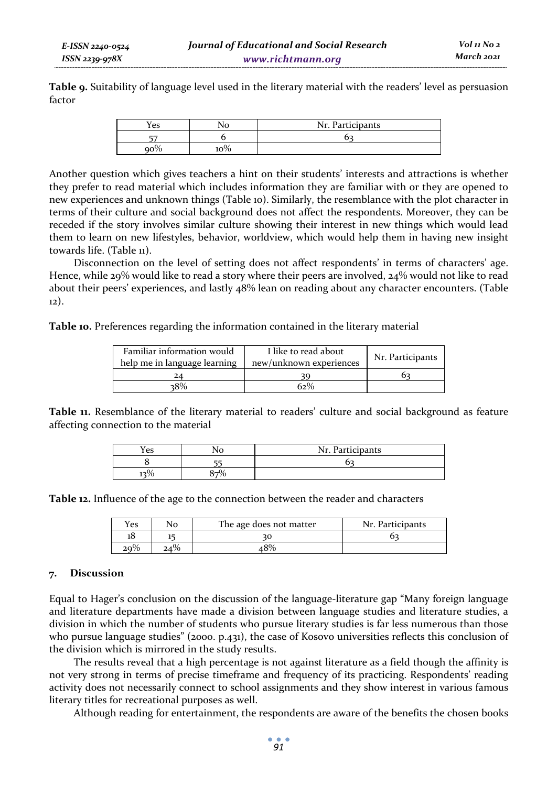**Table 9.** Suitability of language level used in the literary material with the readers' level as persuasion factor

| res | ٦C  | Nr. Participants |
|-----|-----|------------------|
| --  |     |                  |
|     | 10% |                  |

Another question which gives teachers a hint on their students' interests and attractions is whether they prefer to read material which includes information they are familiar with or they are opened to new experiences and unknown things (Table 10). Similarly, the resemblance with the plot character in terms of their culture and social background does not affect the respondents. Moreover, they can be receded if the story involves similar culture showing their interest in new things which would lead them to learn on new lifestyles, behavior, worldview, which would help them in having new insight towards life. (Table 11).

Disconnection on the level of setting does not affect respondents' in terms of characters' age. Hence, while 29% would like to read a story where their peers are involved, 24% would not like to read about their peers' experiences, and lastly 48% lean on reading about any character encounters. (Table 12).

**Table 10.** Preferences regarding the information contained in the literary material

| Familiar information would<br>help me in language learning | I like to read about<br>new/unknown experiences | Nr. Participants |
|------------------------------------------------------------|-------------------------------------------------|------------------|
| 24                                                         |                                                 |                  |
| 38%                                                        | 62%                                             |                  |

**Table 11.** Resemblance of the literary material to readers' culture and social background as feature affecting connection to the material

| ∕es | .c<br>ı. | Nr. Participants |  |
|-----|----------|------------------|--|
|     | --       |                  |  |
|     |          |                  |  |

**Table 12.** Influence of the age to the connection between the reader and characters

| Yes | The age does not matter | Nr. Participants |
|-----|-------------------------|------------------|
|     | 30                      |                  |
|     | $.8\%$                  |                  |

### **7. Discussion**

Equal to Hager's conclusion on the discussion of the language-literature gap "Many foreign language and literature departments have made a division between language studies and literature studies, a division in which the number of students who pursue literary studies is far less numerous than those who pursue language studies" (2000. p.431), the case of Kosovo universities reflects this conclusion of the division which is mirrored in the study results.

The results reveal that a high percentage is not against literature as a field though the affinity is not very strong in terms of precise timeframe and frequency of its practicing. Respondents' reading activity does not necessarily connect to school assignments and they show interest in various famous literary titles for recreational purposes as well.

Although reading for entertainment, the respondents are aware of the benefits the chosen books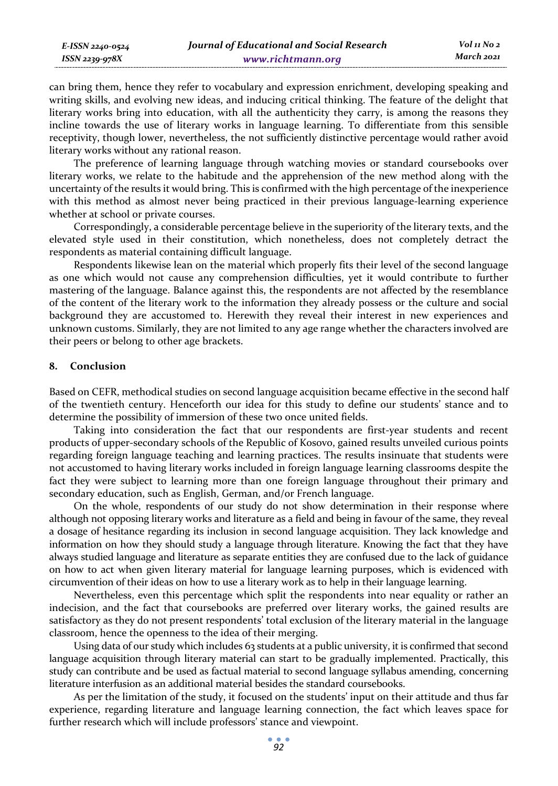| E-ISSN 2240-0524 | Journal of Educational and Social Research | $Vol_{II}$ No 2 |
|------------------|--------------------------------------------|-----------------|
| ISSN 2239-978X   | www.richtmann.org                          | March 2021      |

can bring them, hence they refer to vocabulary and expression enrichment, developing speaking and writing skills, and evolving new ideas, and inducing critical thinking. The feature of the delight that literary works bring into education, with all the authenticity they carry, is among the reasons they incline towards the use of literary works in language learning. To differentiate from this sensible receptivity, though lower, nevertheless, the not sufficiently distinctive percentage would rather avoid literary works without any rational reason.

The preference of learning language through watching movies or standard coursebooks over literary works, we relate to the habitude and the apprehension of the new method along with the uncertainty of the results it would bring. This is confirmed with the high percentage of the inexperience with this method as almost never being practiced in their previous language-learning experience whether at school or private courses.

Correspondingly, a considerable percentage believe in the superiority of the literary texts, and the elevated style used in their constitution, which nonetheless, does not completely detract the respondents as material containing difficult language.

Respondents likewise lean on the material which properly fits their level of the second language as one which would not cause any comprehension difficulties, yet it would contribute to further mastering of the language. Balance against this, the respondents are not affected by the resemblance of the content of the literary work to the information they already possess or the culture and social background they are accustomed to. Herewith they reveal their interest in new experiences and unknown customs. Similarly, they are not limited to any age range whether the characters involved are their peers or belong to other age brackets.

## **8. Conclusion**

Based on CEFR, methodical studies on second language acquisition became effective in the second half of the twentieth century. Henceforth our idea for this study to define our students' stance and to determine the possibility of immersion of these two once united fields.

Taking into consideration the fact that our respondents are first-year students and recent products of upper-secondary schools of the Republic of Kosovo, gained results unveiled curious points regarding foreign language teaching and learning practices. The results insinuate that students were not accustomed to having literary works included in foreign language learning classrooms despite the fact they were subject to learning more than one foreign language throughout their primary and secondary education, such as English, German, and/or French language.

On the whole, respondents of our study do not show determination in their response where although not opposing literary works and literature as a field and being in favour of the same, they reveal a dosage of hesitance regarding its inclusion in second language acquisition. They lack knowledge and information on how they should study a language through literature. Knowing the fact that they have always studied language and literature as separate entities they are confused due to the lack of guidance on how to act when given literary material for language learning purposes, which is evidenced with circumvention of their ideas on how to use a literary work as to help in their language learning.

Nevertheless, even this percentage which split the respondents into near equality or rather an indecision, and the fact that coursebooks are preferred over literary works, the gained results are satisfactory as they do not present respondents' total exclusion of the literary material in the language classroom, hence the openness to the idea of their merging.

Using data of our study which includes 63 students at a public university, it is confirmed that second language acquisition through literary material can start to be gradually implemented. Practically, this study can contribute and be used as factual material to second language syllabus amending, concerning literature interfusion as an additional material besides the standard coursebooks.

As per the limitation of the study, it focused on the students' input on their attitude and thus far experience, regarding literature and language learning connection, the fact which leaves space for further research which will include professors' stance and viewpoint.